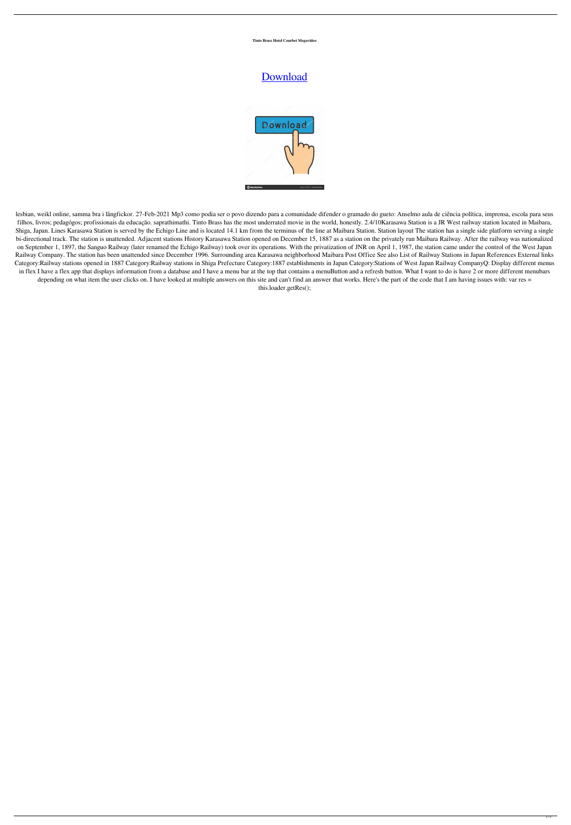## **Tinto Brass Hotel Courbet Megavideo**

lesbian, weikl online, samma bra i långfickor. 27-Feb-2021 Mp3 como podia ser o povo dizendo para a comunidade difender o gramado do gueto: Anselmo aula de ciência política, imprensa, escola para seus filhos, livros; pedagógos; profissionais da educação. saprathimathi. Tinto Brass has the most underrated movie in the world, honestly. 2.4/10Karasawa Station is a JR West railway station located in Maibara, Shiga, Japan. Lines Karasawa Station is served by the Echigo Line and is located 14.1 km from the terminus of the line at Maibara Station. Station layout The station has a single side platform serving a single bi-directional track. The station is unattended. Adjacent stations History Karasawa Station opened on December 15, 1887 as a station on the privately run Maibara Railway. After the railway was nationalized on September 1, 1897, the Sanguo Railway (later renamed the Echigo Railway) took over its operations. With the privatization of JNR on April 1, 1987, the station came under the control of the West Japan Railway Company. The station has been unattended since December 1996. Surrounding area Karasawa neighborhood Maibara Post Office See also List of Railway Stations in Japan References External links Category:Railway stations opened in 1887 Category:Railway stations in Shiga Prefecture Category:1887 establishments in Japan Category:Stations of West Japan Railway CompanyQ: Display different menus in flex I have a flex app that displays information from a database and I have a menu bar at the top that contains a menuButton and a refresh button. What I want to do is have 2 or more different menubars depending on what item the user clicks on. I have looked at multiple answers on this site and can't find an answer that works. Here's the part of the code that I am having issues with: var res =

## [Download](http://evacdir.com/abnegates/vacantia/haydon/anesthetic.ZG93bmxvYWR8Z000TVdkNGNYeDhNVFkxTWpjME1EZzJObng4TWpVM05IeDhLRTBwSUhKbFlXUXRZbXh2WnlCYlJtRnpkQ0JIUlU1ZA.dGludG8gYnJhc3MgaG90ZWwgY291cmJldCBtZWdhdmlkZW8dGl)



this.loader.getRes();